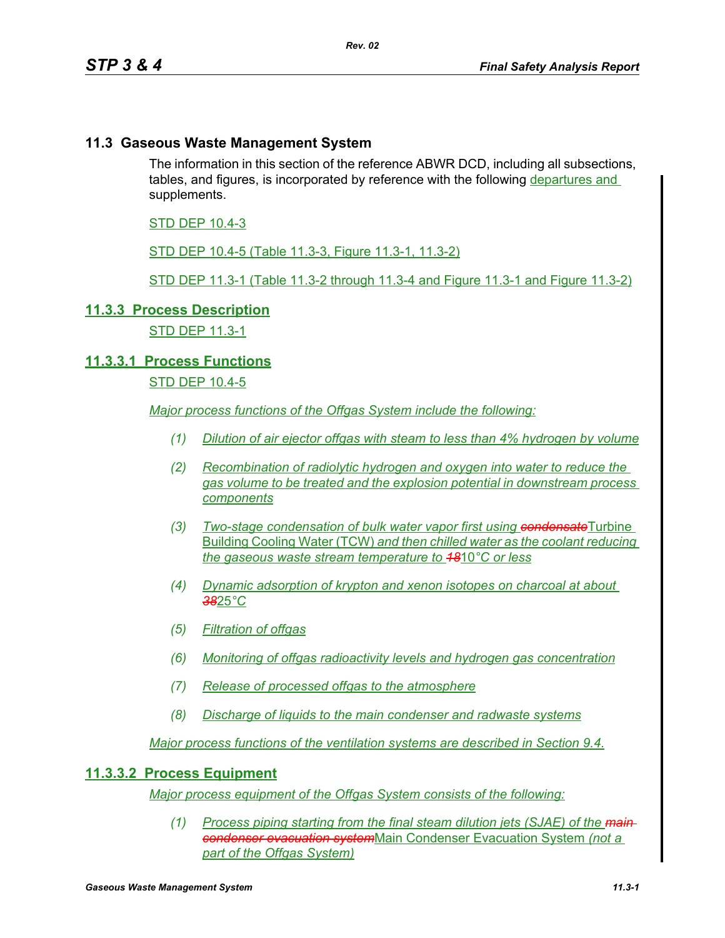# **11.3 Gaseous Waste Management System**

The information in this section of the reference ABWR DCD, including all subsections, tables, and figures, is incorporated by reference with the following departures and supplements.

### STD DEP 10.4-3

STD DEP 10.4-5 (Table 11.3-3, Figure 11.3-1, 11.3-2)

STD DEP 11.3-1 (Table 11.3-2 through 11.3-4 and Figure 11.3-1 and Figure 11.3-2)

#### **11.3.3 Process Description**

STD DEP 11.3-1

# **11.3.3.1 Process Functions**

# STD DEP 10.4-5

*Major process functions of the Offgas System include the following:*

- *(1) Dilution of air ejector offgas with steam to less than 4% hydrogen by volume*
- *(2) Recombination of radiolytic hydrogen and oxygen into water to reduce the gas volume to be treated and the explosion potential in downstream process components*
- *(3) Two-stage condensation of bulk water vapor first using condensate*Turbine Building Cooling Water (TCW) *and then chilled water as the coolant reducing the gaseous waste stream temperature to 18*10*°C or less*
- *(4) Dynamic adsorption of krypton and xenon isotopes on charcoal at about 38*25*°C*
- *(5) Filtration of offgas*
- *(6) Monitoring of offgas radioactivity levels and hydrogen gas concentration*
- *(7) Release of processed offgas to the atmosphere*
- *(8) Discharge of liquids to the main condenser and radwaste systems*

*Major process functions of the ventilation systems are described in Section 9.4.*

#### **11.3.3.2 Process Equipment**

*Major process equipment of the Offgas System consists of the following:*

*(1) Process piping starting from the final steam dilution jets (SJAE) of the main condenser evacuation system*Main Condenser Evacuation System *(not a part of the Offgas System)*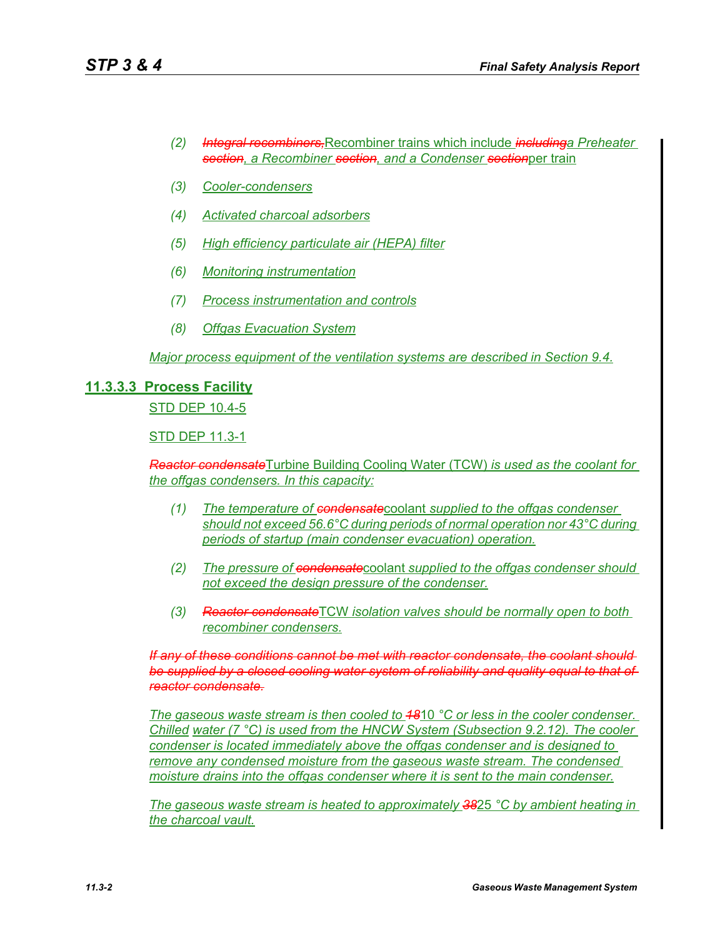- *(2) Integral recombiners,*Recombiner trains which include *includinga Preheater section, a Recombiner section, and a Condenser section*per train
- *(3) Cooler-condensers*
- *(4) Activated charcoal adsorbers*
- *(5) High efficiency particulate air (HEPA) filter*
- *(6) Monitoring instrumentation*
- *(7) Process instrumentation and controls*
- *(8) Offgas Evacuation System*

*Major process equipment of the ventilation systems are described in Section 9.4.*

# **11.3.3.3 Process Facility**

STD DEP 10.4-5

STD DEP 11.3-1

*Reactor condensate*Turbine Building Cooling Water (TCW) *is used as the coolant for the offgas condensers. In this capacity:*

- *(1) The temperature of condensate*coolant *supplied to the offgas condenser should not exceed 56.6°C during periods of normal operation nor 43°C during periods of startup (main condenser evacuation) operation.*
- *(2) The pressure of condensate*coolant *supplied to the offgas condenser should not exceed the design pressure of the condenser.*
- *(3) Reactor condensate*TCW *isolation valves should be normally open to both recombiner condensers.*

*If any of these conditions cannot be met with reactor condensate, the coolant should be supplied by a closed cooling water system of reliability and quality equal to that of reactor condensate.*

*The gaseous waste stream is then cooled to 18*10 *°C or less in the cooler condenser. Chilled water (7 °C) is used from the HNCW System (Subsection 9.2.12). The cooler condenser is located immediately above the offgas condenser and is designed to remove any condensed moisture from the gaseous waste stream. The condensed moisture drains into the offgas condenser where it is sent to the main condenser.*

*The gaseous waste stream is heated to approximately 38*25 *°C by ambient heating in the charcoal vault.*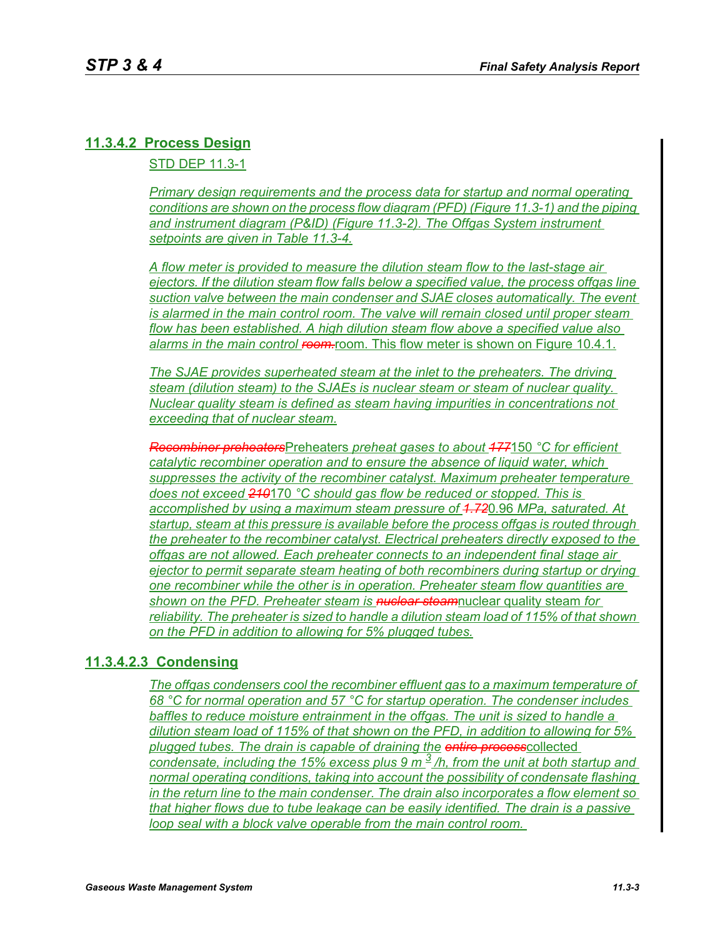# **11.3.4.2 Process Design**

STD DEP 11.3-1

*Primary design requirements and the process data for startup and normal operating conditions are shown on the process flow diagram (PFD) (Figure 11.3-1) and the piping and instrument diagram (P&ID) (Figure 11.3-2). The Offgas System instrument setpoints are given in Table 11.3-4.*

*A flow meter is provided to measure the dilution steam flow to the last-stage air ejectors. If the dilution steam flow falls below a specified value, the process offgas line suction valve between the main condenser and SJAE closes automatically. The event is alarmed in the main control room. The valve will remain closed until proper steam flow has been established. A high dilution steam flow above a specified value also*  alarms in the main control room. This flow meter is shown on Figure 10.4.1.

*The SJAE provides superheated steam at the inlet to the preheaters. The driving steam (dilution steam) to the SJAEs is nuclear steam or steam of nuclear quality. Nuclear quality steam is defined as steam having impurities in concentrations not exceeding that of nuclear steam.*

*Recombiner preheaters*Preheaters *preheat gases to about 177*150 *°C for efficient catalytic recombiner operation and to ensure the absence of liquid water, which suppresses the activity of the recombiner catalyst. Maximum preheater temperature does not exceed 210*170 *°C should gas flow be reduced or stopped. This is accomplished by using a maximum steam pressure of 1.72*0.96 *MPa, saturated. At startup, steam at this pressure is available before the process offgas is routed through the preheater to the recombiner catalyst. Electrical preheaters directly exposed to the offgas are not allowed. Each preheater connects to an independent final stage air ejector to permit separate steam heating of both recombiners during startup or drying one recombiner while the other is in operation. Preheater steam flow quantities are shown on the PFD. Preheater steam is nuclear steam*nuclear quality steam *for reliability. The preheater is sized to handle a dilution steam load of 115% of that shown on the PFD in addition to allowing for 5% plugged tubes.*

# **11.3.4.2.3 Condensing**

*The offgas condensers cool the recombiner effluent gas to a maximum temperature of 68 °C for normal operation and 57 °C for startup operation. The condenser includes baffles to reduce moisture entrainment in the offgas. The unit is sized to handle a dilution steam load of 115% of that shown on the PFD, in addition to allowing for 5% plugged tubes. The drain is capable of draining the entire process*collected *condensate, including the 15% excess plus 9 m 3 /h, from the unit at both startup and normal operating conditions, taking into account the possibility of condensate flashing in the return line to the main condenser. The drain also incorporates a flow element so that higher flows due to tube leakage can be easily identified. The drain is a passive loop seal with a block valve operable from the main control room.*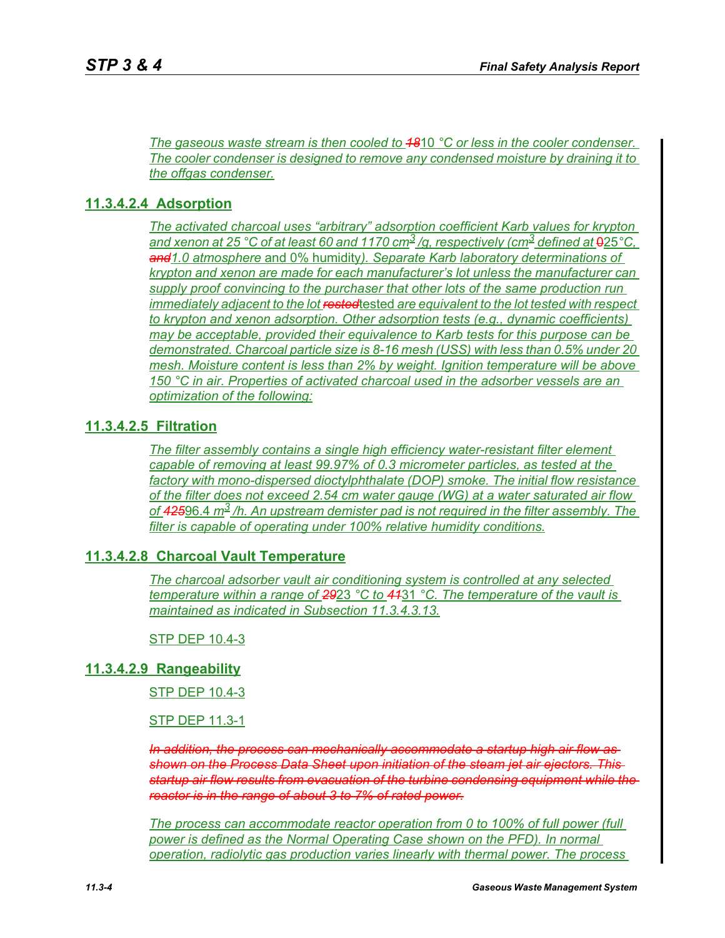*The gaseous waste stream is then cooled to 18*10 *°C or less in the cooler condenser. The cooler condenser is designed to remove any condensed moisture by draining it to the offgas condenser.*

#### **11.3.4.2.4 Adsorption**

*The activated charcoal uses "arbitrary" adsorption coefficient Karb values for krypton and xenon at 25 °C of at least 60 and 1170 cm<sup>3</sup>/g, respectively (cm<sup>3</sup> defined at*  $925$ *°C, and1.0 atmosphere* and 0% humidity*). Separate Karb laboratory determinations of krypton and xenon are made for each manufacturer's lot unless the manufacturer can supply proof convincing to the purchaser that other lots of the same production run immediately adjacent to the lot rested*tested *are equivalent to the lot tested with respect to krypton and xenon adsorption. Other adsorption tests (e.g., dynamic coefficients) may be acceptable, provided their equivalence to Karb tests for this purpose can be demonstrated. Charcoal particle size is 8-16 mesh (USS) with less than 0.5% under 20 mesh. Moisture content is less than 2% by weight. Ignition temperature will be above 150 °C in air. Properties of activated charcoal used in the adsorber vessels are an optimization of the following:*

#### **11.3.4.2.5 Filtration**

*The filter assembly contains a single high efficiency water-resistant filter element capable of removing at least 99.97% of 0.3 micrometer particles, as tested at the factory with mono-dispersed dioctylphthalate (DOP) smoke. The initial flow resistance of the filter does not exceed 2.54 cm water gauge (WG) at a water saturated air flow of 425*96.4 *m3 /h. An upstream demister pad is not required in the filter assembly. The filter is capable of operating under 100% relative humidity conditions.*

#### **11.3.4.2.8 Charcoal Vault Temperature**

*The charcoal adsorber vault air conditioning system is controlled at any selected temperature within a range of 29*23 *°C to 41*31 *°C. The temperature of the vault is maintained as indicated in Subsection 11.3.4.3.13.*

STP DEP 10.4-3

#### **11.3.4.2.9 Rangeability**

STP DEP 10.4-3

#### STP DEP 11.3-1

*In addition, the process can mechanically accommodate a startup high air flow as shown on the Process Data Sheet upon initiation of the steam jet air ejectors. This startup air flow results from evacuation of the turbine condensing equipment while the reactor is in the range of about 3 to 7% of rated power.*

*The process can accommodate reactor operation from 0 to 100% of full power (full power is defined as the Normal Operating Case shown on the PFD). In normal operation, radiolytic gas production varies linearly with thermal power. The process*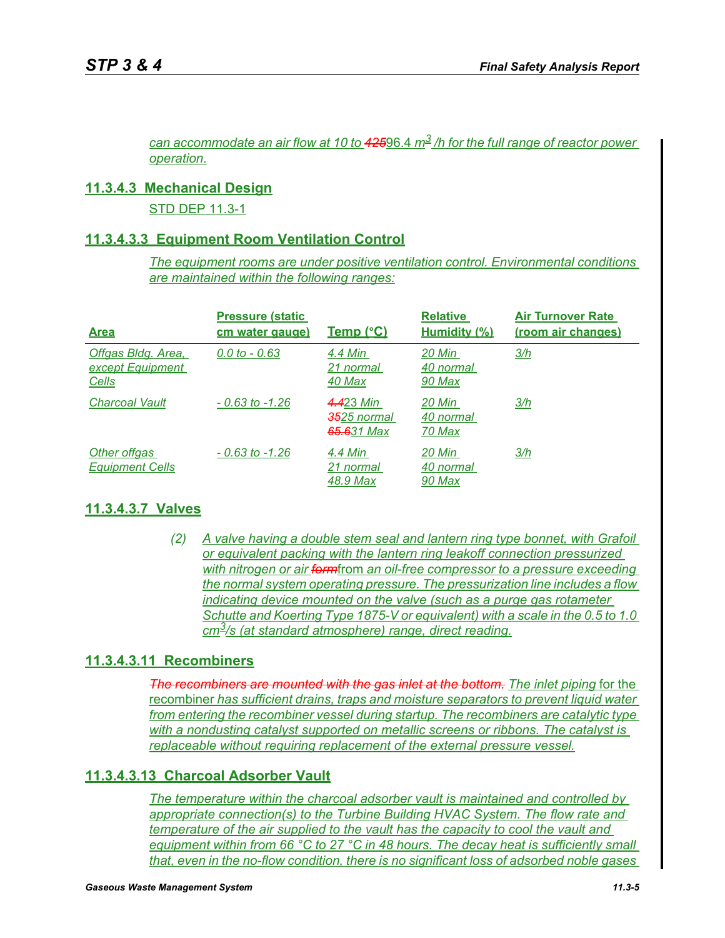*can accommodate an air flow at 10 to 425*96.4 *m3 /h for the full range of reactor power operation.*

### **11.3.4.3 Mechanical Design**

STD DEP 11.3-1

### **11.3.4.3.3 Equipment Room Ventilation Control**

*The equipment rooms are under positive ventilation control. Environmental conditions are maintained within the following ranges:*

| <b>Area</b>                                     | <b>Pressure (static)</b><br>cm water gauge) | <u>Temp (°C)</u>                                           | <b>Relative</b><br>Humidity (%) | <b>Air Turnover Rate</b><br>(room air changes) |
|-------------------------------------------------|---------------------------------------------|------------------------------------------------------------|---------------------------------|------------------------------------------------|
| Offgas Bldg. Area,<br>except Equipment<br>Cells | $0.0 \text{ to } -0.63$                     | 4.4 Min<br>21 normal<br>40 Max                             | 20 Min<br>40 normal<br>90 Max   | 3/h                                            |
| <b>Charcoal Vault</b>                           | $-0.63$ to $-1.26$                          | 4.423 Min<br><del>35</del> 25 normal<br><b>65.6</b> 31 Max | 20 Min<br>40 normal<br>70 Max   | 3/h                                            |
| Other offgas<br><b>Equipment Cells</b>          | $-0.63$ to $-1.26$                          | 4.4 Min<br>21 normal<br>48.9 Max                           | 20 Min<br>40 normal<br>90 Max   | 3/h                                            |

# **11.3.4.3.7 Valves**

*(2) A valve having a double stem seal and lantern ring type bonnet, with Grafoil or equivalent packing with the lantern ring leakoff connection pressurized with nitrogen or air form*from *an oil-free compressor to a pressure exceeding the normal system operating pressure. The pressurization line includes a flow indicating device mounted on the valve (such as a purge gas rotameter Schutte and Koerting Type 1875-V or equivalent) with a scale in the 0.5 to 1.0 cm3/s (at standard atmosphere) range, direct reading.*

# **11.3.4.3.11 Recombiners**

*The recombiners are mounted with the gas inlet at the bottom. The inlet piping* for the recombiner *has sufficient drains, traps and moisture separators to prevent liquid water from entering the recombiner vessel during startup. The recombiners are catalytic type with a nondusting catalyst supported on metallic screens or ribbons. The catalyst is replaceable without requiring replacement of the external pressure vessel.*

### **11.3.4.3.13 Charcoal Adsorber Vault**

*The temperature within the charcoal adsorber vault is maintained and controlled by appropriate connection(s) to the Turbine Building HVAC System. The flow rate and temperature of the air supplied to the vault has the capacity to cool the vault and equipment within from 66 °C to 27 °C in 48 hours. The decay heat is sufficiently small that, even in the no-flow condition, there is no significant loss of adsorbed noble gases*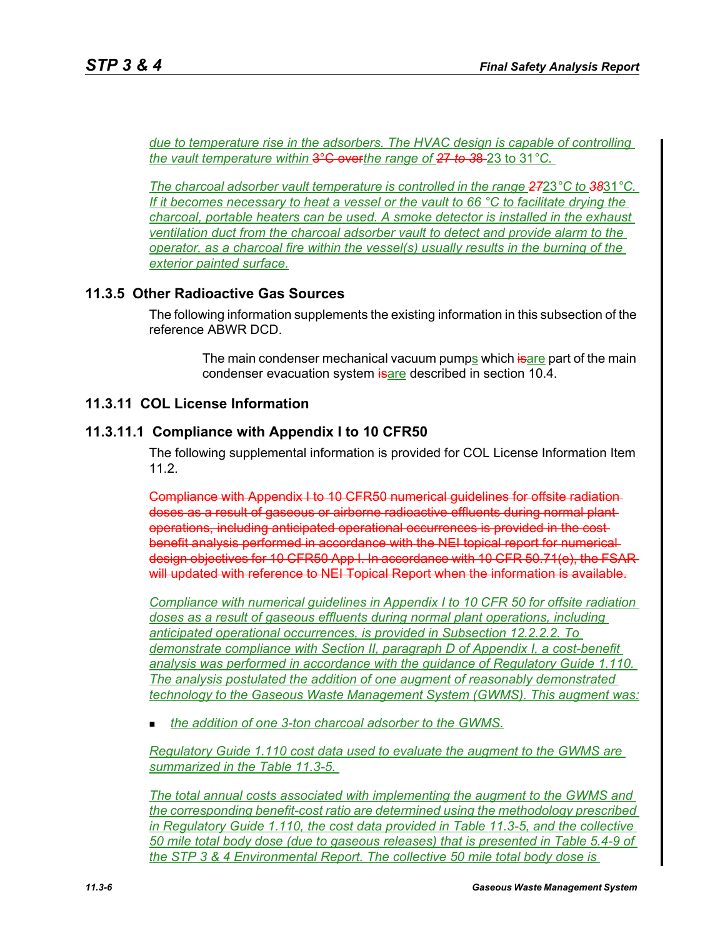*due to temperature rise in the adsorbers. The HVAC design is capable of controlling the vault temperature within* 3°C over*the range of 2*7 *to 3*8 23 to 31*°C.* 

*The charcoal adsorber vault temperature is controlled in the range 27*23*°C to 38*31*°C. If it becomes necessary to heat a vessel or the vault to 66 °C to facilitate drying the charcoal, portable heaters can be used. A smoke detector is installed in the exhaust ventilation duct from the charcoal adsorber vault to detect and provide alarm to the operator, as a charcoal fire within the vessel(s) usually results in the burning of the exterior painted surface.*

# **11.3.5 Other Radioactive Gas Sources**

The following information supplements the existing information in this subsection of the reference ABWR DCD.

> The main condenser mechanical vacuum pumps which isare part of the main condenser evacuation system **isare** described in section 10.4.

# **11.3.11 COL License Information**

# **11.3.11.1 Compliance with Appendix I to 10 CFR50**

The following supplemental information is provided for COL License Information Item 11.2.

Compliance with Appendix I to 10 CFR50 numerical guidelines for offsite radiation doses as a result of gaseous or airborne radioactive effluents during normal plant operations, including anticipated operational occurrences is provided in the cost benefit analysis performed in accordance with the NEI topical report for numerical design objectives for 10 CFR50 App I. In accordance with 10 CFR 50.71(e), the FSAR will updated with reference to NEI Topical Report when the information is available.

*Compliance with numerical guidelines in Appendix I to 10 CFR 50 for offsite radiation doses as a result of gaseous effluents during normal plant operations, including anticipated operational occurrences, is provided in Subsection 12.2.2.2. To demonstrate compliance with Section II, paragraph D of Appendix I, a cost-benefit analysis was performed in accordance with the guidance of Regulatory Guide 1.110. The analysis postulated the addition of one augment of reasonably demonstrated technology to the Gaseous Waste Management System (GWMS). This augment was:*

*the addition of one 3-ton charcoal adsorber to the GWMS.*

*Regulatory Guide 1.110 cost data used to evaluate the augment to the GWMS are summarized in the Table 11.3-5.* 

*The total annual costs associated with implementing the augment to the GWMS and the corresponding benefit-cost ratio are determined using the methodology prescribed in Regulatory Guide 1.110, the cost data provided in Table 11.3-5, and the collective 50 mile total body dose (due to gaseous releases) that is presented in Table 5.4-9 of the STP 3 & 4 Environmental Report. The collective 50 mile total body dose is*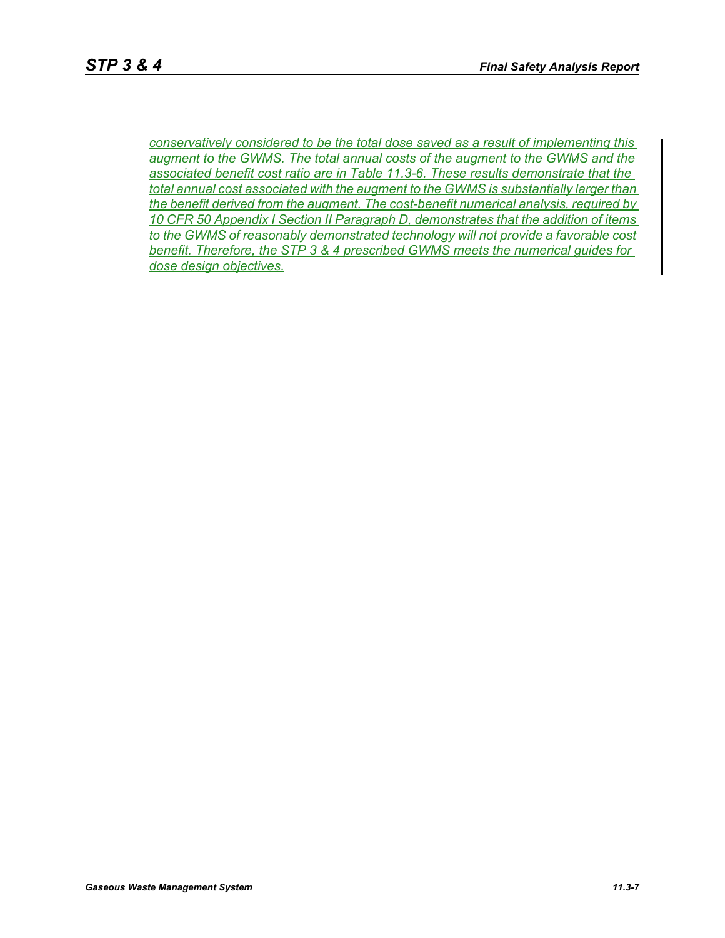*conservatively considered to be the total dose saved as a result of implementing this augment to the GWMS. The total annual costs of the augment to the GWMS and the associated benefit cost ratio are in Table 11.3-6. These results demonstrate that the total annual cost associated with the augment to the GWMS is substantially larger than the benefit derived from the augment. The cost-benefit numerical analysis, required by 10 CFR 50 Appendix I Section II Paragraph D, demonstrates that the addition of items to the GWMS of reasonably demonstrated technology will not provide a favorable cost benefit. Therefore, the STP 3 & 4 prescribed GWMS meets the numerical guides for dose design objectives.*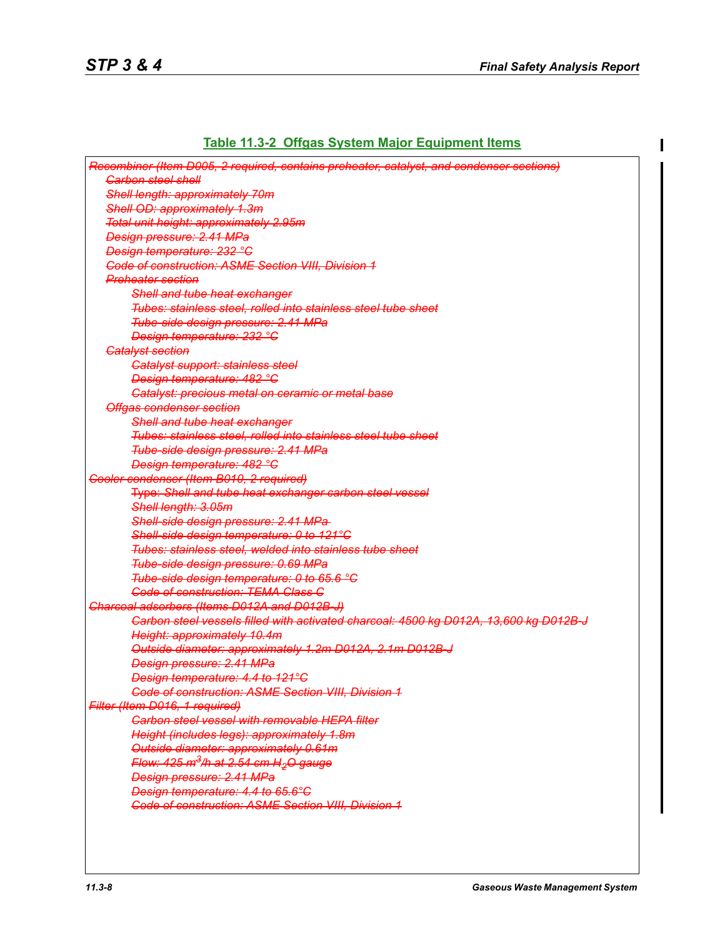# **Table 11.3-2 Offgas System Major Equipment Items**

| Recombiner (Item D005, 2 required, contains preheater, catalyst, and condenser sections) |
|------------------------------------------------------------------------------------------|
| <b>Carbon steel shell</b>                                                                |
| Shell length: approximately 70m                                                          |
| Shell OD: approximately 1.3m                                                             |
| Total unit height: approximately 2.95m                                                   |
| Design pressure: 2.41 MPa                                                                |
| <b>Design temperature: 232 °C</b>                                                        |
| <b>Code of construction: ASME Section VIII, Division 1</b>                               |
| <b>Preheater section</b>                                                                 |
| Shell and tube heat exchanger                                                            |
| Tubes: stainless steel, rolled into stainless steel tube sheet                           |
| Tube-side design pressure: 2.41 MPa                                                      |
| <b>Design temperature: 232 °C</b>                                                        |
| <b>Catalyst section</b>                                                                  |
| <b>Catalyst support: stainless steel</b>                                                 |
| Design temperature: 482 °C                                                               |
| Catalyst: precious metal on ceramic or metal base                                        |
| <b>Offgas condenser section</b>                                                          |
| Shell and tube heat exchanger                                                            |
| Tubes: stainless steel, rolled into stainless steel tube sheet                           |
| Tube-side design pressure: 2.41 MPa                                                      |
| Design temperature: 482 °C                                                               |
| Cooler condenser (Item B010, 2 required)                                                 |
| Type: Shell and tube heat exchanger carbon steel vessel                                  |
| Shell length: 3.05m                                                                      |
| Shell-side design pressure: 2.41 MPa-                                                    |
| Shell-side design temperature: 0 to 121°C                                                |
| Tubes: stainless steel, welded into stainless tube sheet                                 |
| Tube-side design pressure: 0.69 MPa                                                      |
| Tube-side design temperature: 0 to 65.6 °C                                               |
| <b>Code of construction: TEMA Class C</b>                                                |
| Charcoal adsorbers (Items D012A and D012B-J)                                             |
| Carbon steel vessels filled with activated charcoal: 4500 kg D012A, 13,600 kg D012B J    |
| Height: approximately 10.4m                                                              |
| Outside diameter: approximately 1.2m D012A, 2.1m D012B-J                                 |
| <b>Design pressure: 2.41 MPa</b>                                                         |
| Design temperature: 4.4 to 121°C                                                         |
| <b>Code of construction: ASME Section VIII, Division 1</b>                               |
| Filter (Item D016, 1 required)                                                           |
| <b>Carbon steel vessel with removable HEPA filter</b>                                    |
| Height (includes legs): approximately 1.8m                                               |
| Outside diameter: approximately 0.61m                                                    |
| Flow: 425 m <sup>3</sup> /h at 2.54 cm H <sub>2</sub> O gauge                            |
| Design pressure: 2.41 MPa                                                                |
| Design temperature: 4.4 to 65.6°C                                                        |
| <b>Code of construction: ASME Section VIII, Division 1</b>                               |
|                                                                                          |
|                                                                                          |
|                                                                                          |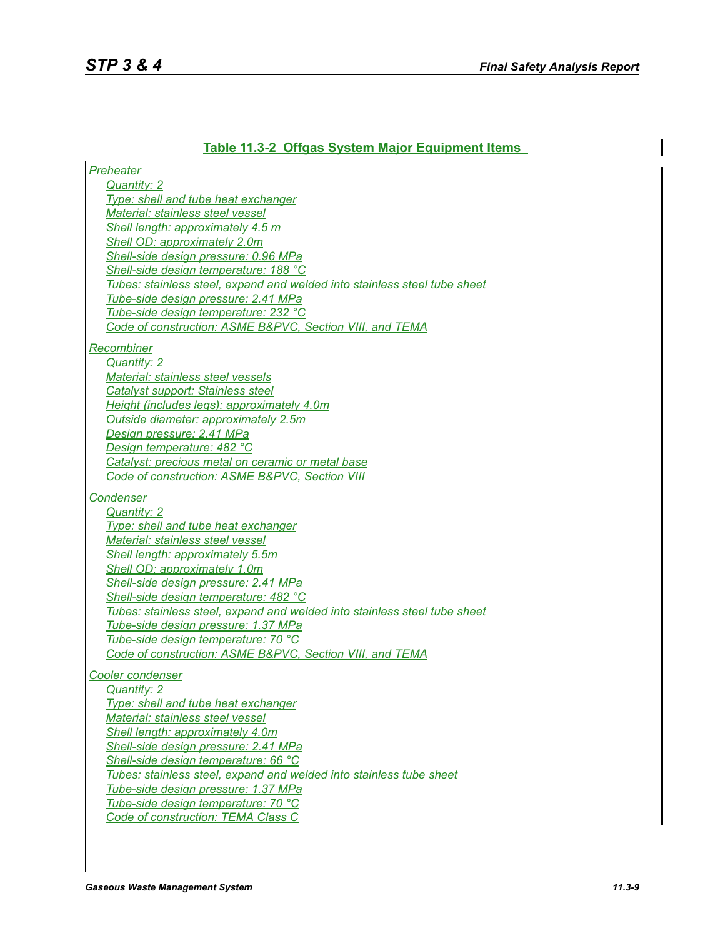*Preheater*

# **Table 11.3-2 Offgas System Major Equipment Items**

| Quantity: 2                                                               |
|---------------------------------------------------------------------------|
| Type: shell and tube heat exchanger                                       |
| Material: stainless steel vessel                                          |
| Shell length: approximately 4.5 m                                         |
| Shell OD: approximately 2.0m                                              |
| Shell-side design pressure: 0.96 MPa                                      |
| Shell-side design temperature: 188 °C                                     |
| Tubes: stainless steel, expand and welded into stainless steel tube sheet |
| Tube-side design pressure: 2.41 MPa                                       |
| Tube-side design temperature: 232 °C                                      |
| Code of construction: ASME B&PVC, Section VIII, and TEMA                  |
|                                                                           |
| Recombiner                                                                |
| Quantity: 2                                                               |
| Material: stainless steel vessels                                         |
| <b>Catalyst support: Stainless steel</b>                                  |
| Height (includes legs): approximately 4.0m                                |
| Outside diameter: approximately 2.5m                                      |
| Design pressure: 2.41 MPa                                                 |
| Design temperature: 482 °C                                                |
| Catalyst: precious metal on ceramic or metal base                         |
| Code of construction: ASME B&PVC, Section VIII                            |
| <b>Condenser</b>                                                          |
| Quantity: 2                                                               |
| Type: shell and tube heat exchanger                                       |
| Material: stainless steel vessel                                          |
| <b>Shell length: approximately 5.5m</b>                                   |
| Shell OD: approximately 1.0m                                              |
| Shell-side design pressure: 2.41 MPa                                      |
| Shell-side design temperature: 482 °C                                     |
| Tubes: stainless steel, expand and welded into stainless steel tube sheet |
| Tube-side design pressure: 1.37 MPa                                       |
| Tube-side design temperature: 70 °C                                       |
| Code of construction: ASME B&PVC, Section VIII, and TEMA                  |
|                                                                           |
| Cooler condenser                                                          |
| Quantity: 2                                                               |
| Type: shell and tube heat exchanger                                       |
| Material: stainless steel vessel                                          |
| Shell length: approximately 4.0m                                          |
| Shell-side design pressure: 2.41 MPa                                      |
| Shell-side design temperature: 66 °C                                      |
| Tubes: stainless steel, expand and welded into stainless tube sheet       |
| Tube-side design pressure: 1.37 MPa                                       |
| Tube-side design temperature: 70 °C                                       |
| Code of construction: TEMA Class C                                        |
|                                                                           |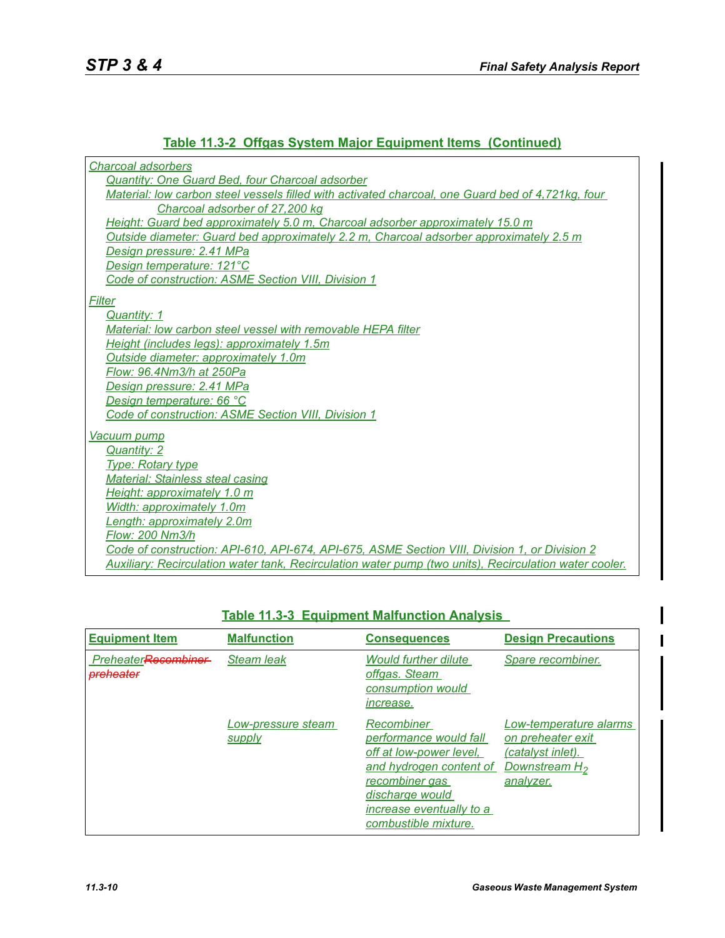# **Table 11.3-2 Offgas System Major Equipment Items (Continued)**

| Charcoal adsorbers                                                                                     |
|--------------------------------------------------------------------------------------------------------|
| Quantity: One Guard Bed, four Charcoal adsorber                                                        |
| Material: low carbon steel vessels filled with activated charcoal, one Guard bed of 4,721kg, four      |
| Charcoal adsorber of 27,200 kg                                                                         |
| Height: Guard bed approximately 5.0 m, Charcoal adsorber approximately 15.0 m                          |
| Outside diameter: Guard bed approximately 2.2 m, Charcoal adsorber approximately 2.5 m                 |
| Design pressure: 2.41 MPa                                                                              |
| Design temperature: 121°C                                                                              |
| Code of construction: ASME Section VIII, Division 1                                                    |
| <b>Filter</b>                                                                                          |
| Quantity: 1                                                                                            |
| Material: low carbon steel vessel with removable HEPA filter                                           |
| Height (includes legs): approximately 1.5m                                                             |
| Outside diameter: approximately 1.0m                                                                   |
| Flow: 96.4Nm3/h at 250Pa                                                                               |
| Design pressure: 2.41 MPa                                                                              |
| Design temperature: 66 °C                                                                              |
| Code of construction: ASME Section VIII, Division 1                                                    |
| <u>Vacuum pump</u>                                                                                     |
| Quantity: 2                                                                                            |
| <b>Type: Rotary type</b>                                                                               |
| <b>Material: Stainless steal casing</b>                                                                |
| Height: approximately 1.0 m                                                                            |
| Width: approximately 1.0m                                                                              |
| Length: approximately 2.0m                                                                             |
| Flow: 200 Nm3/h                                                                                        |
| Code of construction: API-610, API-674, API-675, ASME Section VIII, Division 1, or Division 2          |
| Auxiliary: Recirculation water tank, Recirculation water pump (two units), Recirculation water cooler. |

| <b>Equipment Item</b>                       | <b>Malfunction</b>           | <b>Consequences</b>                                                                                                                                                                 | <b>Design Precautions</b>                                                                                  |
|---------------------------------------------|------------------------------|-------------------------------------------------------------------------------------------------------------------------------------------------------------------------------------|------------------------------------------------------------------------------------------------------------|
| PreheaterRecombiner<br><del>nreheater</del> | <b>Steam leak</b>            | <b>Would further dilute</b><br>offgas. Steam<br>consumption would<br><i>increase.</i>                                                                                               | Spare recombiner.                                                                                          |
|                                             | Low-pressure steam<br>supply | Recombiner<br>performance would fall<br>off at low-power level,<br>and hydrogen content of<br>recombiner gas<br>discharge would<br>increase eventually to a<br>combustible mixture. | Low-temperature alarms<br>on preheater exit<br>(catalyst inlet).<br>Downstream H <sub>2</sub><br>analyzer. |

# **Table 11.3-3 Equipment Malfunction Analysis**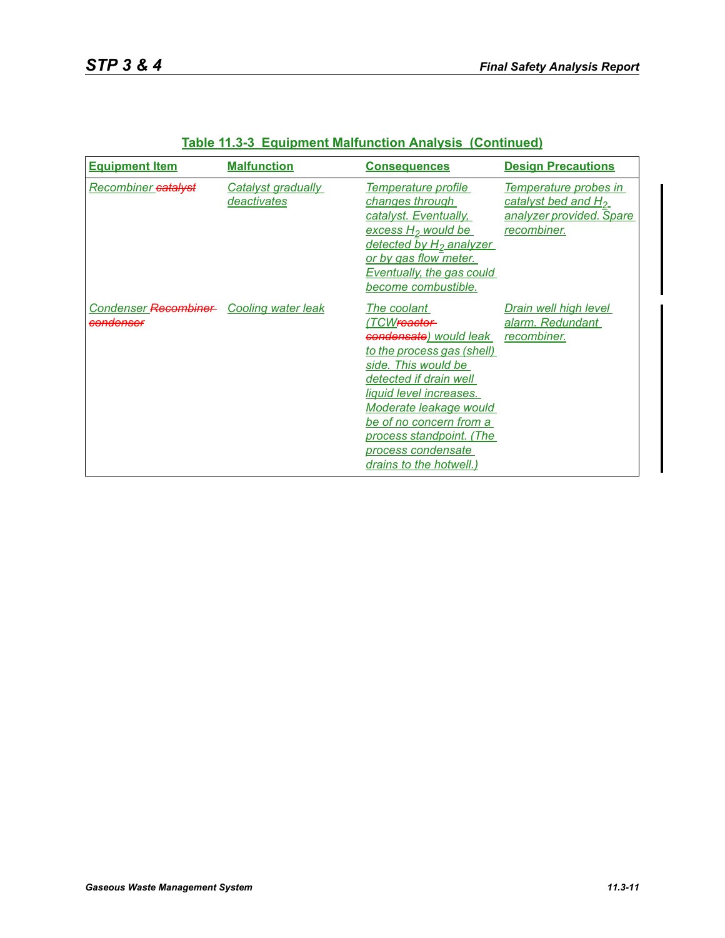| <b>Equipment Item</b>                                | <b>Malfunction</b>                | <b>Consequences</b>                                                                                                                                                                                                                                                                                           | <b>Design Precautions</b>                                                                           |
|------------------------------------------------------|-----------------------------------|---------------------------------------------------------------------------------------------------------------------------------------------------------------------------------------------------------------------------------------------------------------------------------------------------------------|-----------------------------------------------------------------------------------------------------|
| Recombiner catalyst                                  | Catalyst gradually<br>deactivates | Temperature profile<br>changes through<br>catalyst. Eventually,<br>excess H <sub>2</sub> would be<br>detected by H <sub>2</sub> analyzer<br>or by gas flow meter.<br>Eventually, the gas could<br>become combustible.                                                                                         | Temperature probes in<br>catalyst bed and H <sub>2</sub><br>analyzer provided. Spare<br>recombiner. |
| Condenser Recombiner Cooling water leak<br>condenser |                                   | The coolant<br>'TCW <del>reactor </del><br>condensate) would leak<br>to the process gas (shell)<br>side. This would be<br>detected if drain well<br>liquid level increases.<br>Moderate leakage would<br>be of no concern from a<br>process standpoint. (The<br>process condensate<br>drains to the hotwell.) | Drain well high level<br>alarm. Redundant<br>recombiner.                                            |

|  |  |  |  | <b>Table 11.3-3 Equipment Malfunction Analysis (Continued)</b> |
|--|--|--|--|----------------------------------------------------------------|
|--|--|--|--|----------------------------------------------------------------|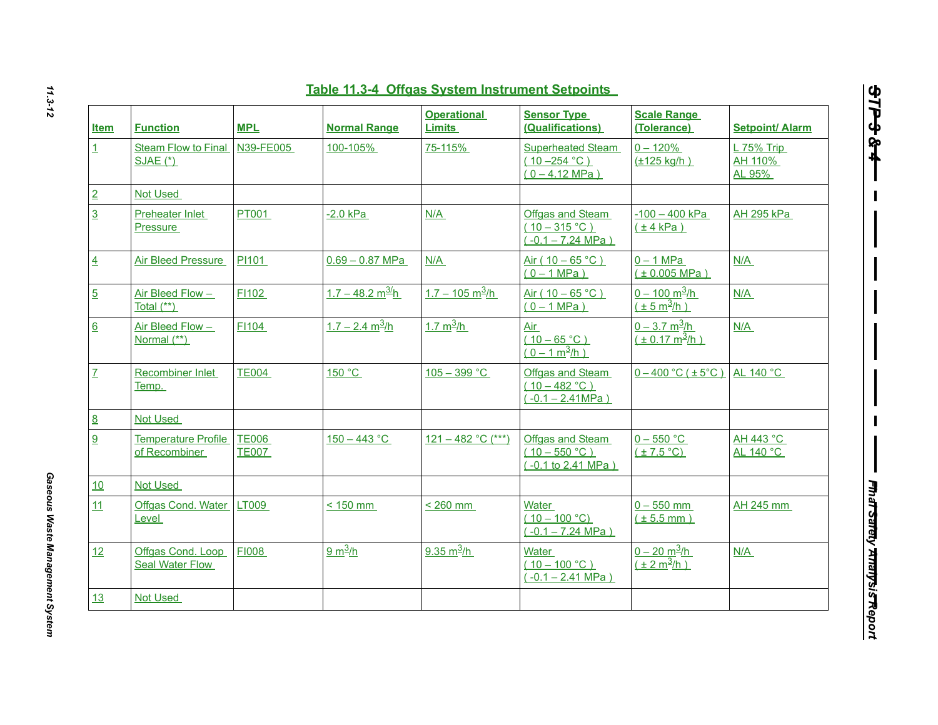| <b>Item</b>      | <b>Function</b>                             | <b>MPL</b>                   | <b>Normal Range</b>            | <b>Operational</b><br><b>Limits</b> | <b>Sensor Type</b><br>(Qualifications)                           | <b>Scale Range</b><br>(Tolerance)                             | <b>Setpoint/ Alarm</b>            |
|------------------|---------------------------------------------|------------------------------|--------------------------------|-------------------------------------|------------------------------------------------------------------|---------------------------------------------------------------|-----------------------------------|
| $\mathbf{1}$     | Steam Flow to Final<br><b>SJAE (*)</b>      | N39-FE005                    | 100-105%                       | 75-115%                             | Superheated Steam<br>$(10 - 254 °C)$<br>$(0 - 4.12 \text{ MPa})$ | $0 - 120%$<br>$(\pm 125$ kg/h)                                | $L$ 75% Trip<br>AH 110%<br>AL 95% |
|                  | <b>Not Used</b>                             |                              |                                |                                     |                                                                  |                                                               |                                   |
|                  | Preheater Inlet<br><b>Pressure</b>          | <b>PT001</b>                 | $-2.0$ kPa                     | N/A                                 | Offgas and Steam<br>$(10 - 315 °C)$<br>$(-0.1 - 7.24 MPa)$       | $-100 - 400$ kPa<br>(±4 kPa)                                  | <b>AH 295 kPa</b>                 |
| $\overline{4}$   | <b>Air Bleed Pressure</b>                   | PI101                        | $0.69 - 0.87$ MPa              | N/A                                 | Air ( $10 - 65$ °C)<br>$(0 - 1 MPa)$                             | $0 - 1$ MPa<br>(± 0.005 MPa)                                  | N/A                               |
| $\overline{5}$   | Air Bleed Flow -<br>Total $(**)$            | F1102                        | $1.7 - 48.2$ m <sup>3/</sup> h | $1.7 - 105$ m <sup>3</sup> /h       | Air ( $10 - 65$ °C)<br>$(0 - 1 MPa)$                             | $0 - 100$ m <sup>3</sup> /h<br>$(\pm 5 \text{ m}^3/\text{h})$ | N/A                               |
| $6 \overline{6}$ | Air Bleed Flow -<br>Normal (**)             | F1104                        | $1.7 - 2.4$ m <sup>3</sup> /h  | $1.7 m^3/h$                         | Air<br>$(10 - 65 °C)$<br>$(0 - 1 m^3/h)$                         | $0 - 3.7 \text{ m}^3/h$<br>$(\pm 0.17 \text{ m}^3/\text{h})$  | N/A                               |
| $\overline{L}$   | Recombiner Inlet<br>Temp.                   | <b>TE004</b>                 | 150 °C                         | $105 - 399 °C$                      | Offgas and Steam<br>$(10 - 482 °C)$<br>$(-0.1 - 2.41 MPa)$       | $0 - 400$ °C ( $\pm 5$ °C)                                    | AL 140 °C                         |
| 8                | <b>Not Used</b>                             |                              |                                |                                     |                                                                  |                                                               |                                   |
|                  | <b>Temperature Profile</b><br>of Recombiner | <b>TE006</b><br><b>TE007</b> | $150 - 443 °C$                 | $121 - 482$ °C (***)                | Offgas and Steam<br>$(10 - 550 °C)$<br>$(-0.1 to 2.41 MPa)$      | $0 - 550$ $^{\circ}$ C<br>$(\pm 7.5$ °C)                      | AH 443 °C<br>AL 140 °C            |
| 10               | <b>Not Used</b>                             |                              |                                |                                     |                                                                  |                                                               |                                   |
| 11               | Offgas Cond. Water LT009<br>Level           |                              | $< 150$ mm                     | $< 260$ mm                          | Water<br>$(10 - 100 °C)$<br>$(-0.1 - 7.24 MPa)$                  | $0 - 550$ mm<br>$(\pm 5.5$ mm)                                | AH 245 mm                         |
| 12               | Offgas Cond. Loop<br>Seal Water Flow        | <b>FI008</b>                 | 9 m <sup>3</sup> /h            | 9.35 $m^3/h$                        | Water<br>$(10 - 100 °C)$<br>$(-0.1 - 2.41$ MPa)                  | $0 - 20$ m <sup>3</sup> /h<br>$(\pm 2 m^3/h)$                 | N/A                               |
| 13               | <b>Not Used</b>                             |                              |                                |                                     |                                                                  |                                                               |                                   |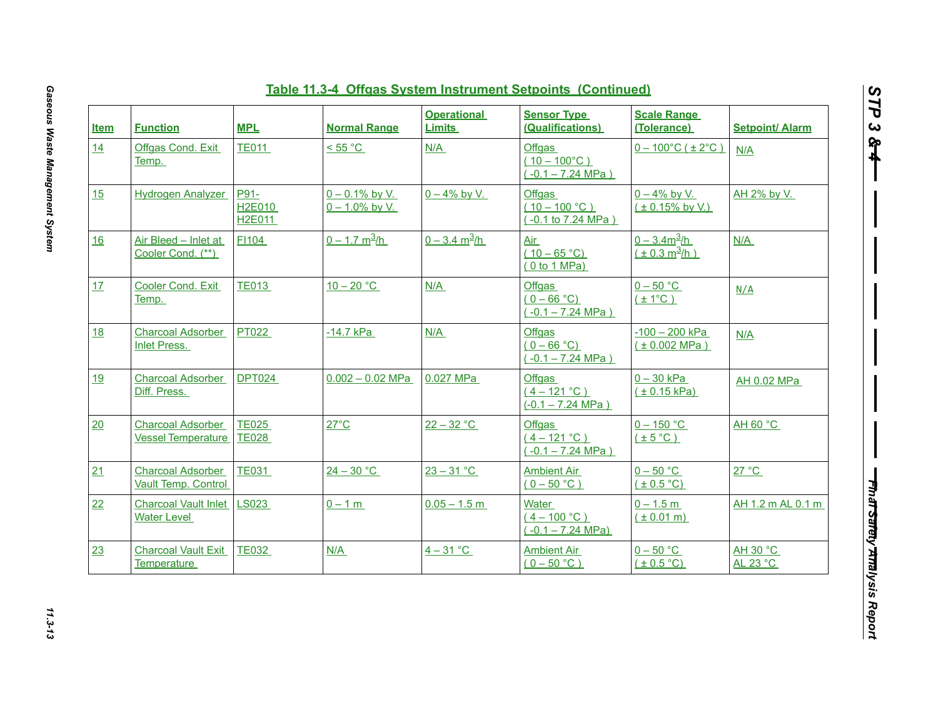| <b>Item</b> | <b>Function</b>                                        | <b>MPL</b>                             | <b>Normal Range</b>                    | <b>Operational</b><br><b>Limits</b> | <b>Sensor Type</b><br>(Qualifications)                        | <b>Scale Range</b><br>(Tolerance)                  | <b>Setpoint/ Alarm</b> |
|-------------|--------------------------------------------------------|----------------------------------------|----------------------------------------|-------------------------------------|---------------------------------------------------------------|----------------------------------------------------|------------------------|
| 14          | Offgas Cond. Exit<br>Temp.                             | <b>TE011</b>                           | < 55 °C                                | N/A                                 | Offgas<br>$(10 - 100^{\circ}C)$<br>$(-0.1 - 7.24 MPa)$        | $0 - 100^{\circ}$ C ( $\pm 2^{\circ}$ C)           | N/A                    |
| 15          | <b>Hydrogen Analyzer</b>                               | P91-<br><b>H2E010</b><br><b>H2E011</b> | $0 - 0.1\%$ by V.<br>$0 - 1.0\%$ by V. | $0 - 4\%$ by V.                     | <b>Offgas</b><br>$(10 - 100 °C)$<br>$(-0.1 to 7.24 MPa)$      | $0 - 4\%$ by V.<br>$(± 0.15\%$ by V.)              | AH 2% by V.            |
| 16          | Air Bleed - Inlet at<br>Cooler Cond. (**)              | FI104                                  | $0 - 1.7$ m <sup>3</sup> /h            | $0 - 3.4 \text{ m}^3/h$             | Air<br>$(10 - 65 °C)$<br>(0 to 1 MPa)                         | $0 - 3.4m^3/h$<br>$(\pm 0.3 \text{ m}^3/\text{h})$ | N/A                    |
| 17          | Cooler Cond. Exit<br>Temp.                             | <b>TE013</b>                           | $10-20 °C$                             | N/A                                 | <b>Offgas</b><br>$(0 - 66 °C)$<br>$(-0.1 - 7.24 \text{ MPa})$ | $0 - 50$ °C<br>$(\pm 1^{\circ}C)$                  | N/A                    |
| <b>18</b>   | <b>Charcoal Adsorber</b><br><b>Inlet Press.</b>        | PT022                                  | $-14.7$ kPa                            | N/A                                 | Offgas<br>$(0 - 66 °C)$<br>$(-0.1 - 7.24 MPa)$                | $-100 - 200$ kPa<br>(± 0.002 MPa)                  | N/A                    |
| <u>19</u>   | <b>Charcoal Adsorber</b><br>Diff. Press.               | <b>DPT024</b>                          | $0.002 - 0.02$ MPa                     | 0.027 MPa                           | Offgas<br>$(4 - 121 °C)$<br>$(-0.1 - 7.24 MPa)$               | $0 - 30$ kPa<br>(± 0.15 kPa)                       | AH 0.02 MPa            |
| 20          | <b>Charcoal Adsorber</b><br><b>Vessel Temperature</b>  | <b>TE025</b><br><b>TE028</b>           | $27^{\circ}$ C                         | $22 - 32 °C$                        | <b>Offgas</b><br>$(4 - 121 °C)$<br>$(-0.1 - 7.24 MPa)$        | $0 - 150$ °C<br>$(\pm 5^{\circ}C)$                 | AH 60 °C               |
| 21          | <b>Charcoal Adsorber</b><br><b>Vault Temp. Control</b> | <b>TE031</b>                           | $24 - 30$ °C                           | $23 - 31 °C$                        | <b>Ambient Air</b><br>$(0 - 50 °C)$                           | $0 - 50$ °C<br>$(\pm 0.5$ °C)                      | 27 °C                  |
| 22          | <b>Charcoal Vault Inlet</b><br>Water Level             | <b>LS023</b>                           | $0 - 1 m$                              | $0.05 - 1.5$ m                      | <b>Water</b><br>$(4 - 100 °C)$<br>$(-0.1 - 7.24 MPa)$         | $0 - 1.5 m$<br>$(\pm 0.01 \text{ m})$              | AH 1.2 m AL 0.1 m      |
| 23          | <b>Charcoal Vault Exit</b><br>Temperature              | <b>TE032</b>                           | N/A                                    | $4 - 31$ °C                         | <b>Ambient Air</b><br>$(0 - 50 °C)$                           | $0 - 50$ °C<br>$(\pm 0.5^{\circ}C)$                | AH 30 °C<br>AL 23 °C   |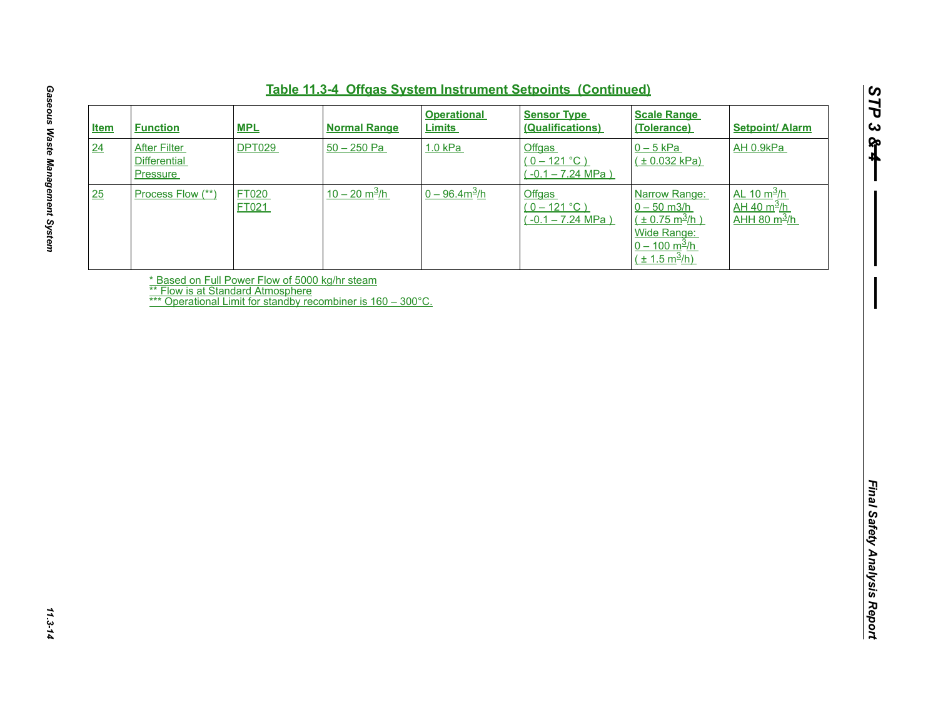| <b>Item</b> | <b>Function</b>                                               | <b>MPL</b>            | <b>Normal Range</b>                                          | <b>Operational</b><br><b>Limits</b> | <b>Sensor Type</b><br>(Qualifications)                 | <b>Scale Range</b><br>(Tolerance)                                                                                                                 | <b>Setpoint/ Alarm</b>                                                      |
|-------------|---------------------------------------------------------------|-----------------------|--------------------------------------------------------------|-------------------------------------|--------------------------------------------------------|---------------------------------------------------------------------------------------------------------------------------------------------------|-----------------------------------------------------------------------------|
| 24          | <b>After Filter</b><br><b>Differential</b><br><b>Pressure</b> | <b>DPT029</b>         | $50 - 250$ Pa                                                | 1.0 kPa                             | <b>Offgas</b><br>$(0 - 121 °C)$<br>$(-0.1 - 7.24 MPa)$ | $0 - 5$ kPa<br>(± 0.032 kPa)                                                                                                                      | AH 0.9kPa                                                                   |
| 25          | Process Flow (**)                                             | FT020<br><b>FT021</b> | $10 - 20$ m <sup>3</sup> /h                                  | $0 - 96.4m^3/h$                     | <b>Offgas</b><br>$(0 - 121 °C)$<br>$(-0.1 - 7.24 MPa)$ | Narrow Range:<br>$0 - 50$ m3/h<br>$(\pm 0.75 \text{ m}^3/h)$<br>Wide Range:<br>$0 - 100 \text{ m}^3/\text{h}$<br>$(\pm 1.5 \text{ m}^3/\text{h})$ | $AL 10 m^3/h$<br>$\frac{\text{AH 40 m}^3 \text{/h}}{1}$<br>$AHH$ 80 $m^3/h$ |
|             | ** Flow is at Standard Atmosphere                             |                       | * Based on Full Power Flow of 5000 kg/hr steam               |                                     |                                                        |                                                                                                                                                   |                                                                             |
|             |                                                               |                       | *** Operational Limit for standby recombiner is 160 - 300°C. |                                     |                                                        |                                                                                                                                                   |                                                                             |
|             |                                                               |                       |                                                              |                                     |                                                        |                                                                                                                                                   |                                                                             |
|             |                                                               |                       |                                                              |                                     |                                                        |                                                                                                                                                   |                                                                             |
|             |                                                               |                       |                                                              |                                     |                                                        |                                                                                                                                                   |                                                                             |
|             |                                                               |                       |                                                              |                                     |                                                        |                                                                                                                                                   |                                                                             |
|             |                                                               |                       |                                                              |                                     |                                                        |                                                                                                                                                   |                                                                             |
|             |                                                               |                       |                                                              |                                     |                                                        |                                                                                                                                                   |                                                                             |
|             |                                                               |                       |                                                              |                                     |                                                        |                                                                                                                                                   |                                                                             |
|             |                                                               |                       |                                                              |                                     |                                                        |                                                                                                                                                   |                                                                             |
|             |                                                               |                       |                                                              |                                     |                                                        |                                                                                                                                                   |                                                                             |
|             |                                                               |                       |                                                              |                                     |                                                        |                                                                                                                                                   |                                                                             |
|             |                                                               |                       |                                                              |                                     |                                                        |                                                                                                                                                   |                                                                             |
|             |                                                               |                       |                                                              |                                     |                                                        |                                                                                                                                                   |                                                                             |
|             |                                                               |                       |                                                              |                                     |                                                        |                                                                                                                                                   |                                                                             |
|             |                                                               |                       |                                                              |                                     |                                                        |                                                                                                                                                   |                                                                             |
|             |                                                               |                       |                                                              |                                     |                                                        |                                                                                                                                                   |                                                                             |
|             |                                                               |                       |                                                              |                                     |                                                        |                                                                                                                                                   |                                                                             |